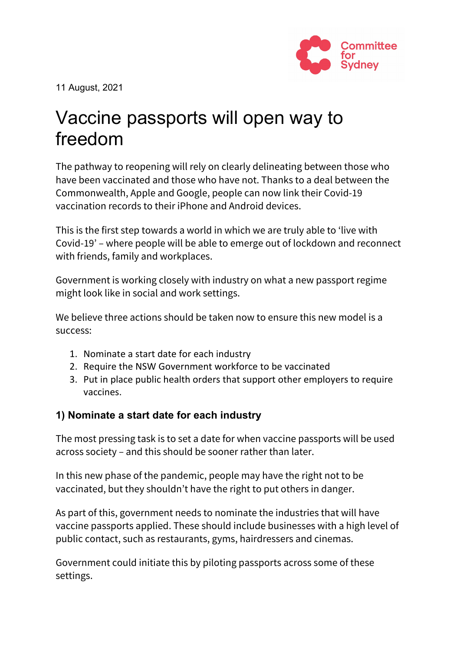

11 August, 2021

# Vaccine passports will open way to freedom

The pathway to reopening will rely on clearly delineating between those who have been vaccinated and those who have not. Thanks to a deal between the Commonwealth, Apple and Google, people can now link their Covid-19 vaccination records to their iPhone and Android devices.

This is the first step towards a world in which we are truly able to 'live with Covid-19' – where people will be able to emerge out of lockdown and reconnect with friends, family and workplaces.

Government is working closely with industry on what a new passport regime might look like in social and work settings.

We believe three actions should be taken now to ensure this new model is a success:

- 1. Nominate a start date for each industry
- 2. Require the NSW Government workforce to be vaccinated
- 3. Put in place public health orders that support other employers to require vaccines.

## **1) Nominate a start date for each industry**

The most pressing task is to set a date for when vaccine passports will be used across society – and this should be sooner rather than later.

In this new phase of the pandemic, people may have the right not to be vaccinated, but they shouldn't have the right to put others in danger.

As part of this, government needs to nominate the industries that will have vaccine passports applied. These should include businesses with a high level of public contact, such as restaurants, gyms, hairdressers and cinemas.

Government could initiate this by piloting passports across some of these settings.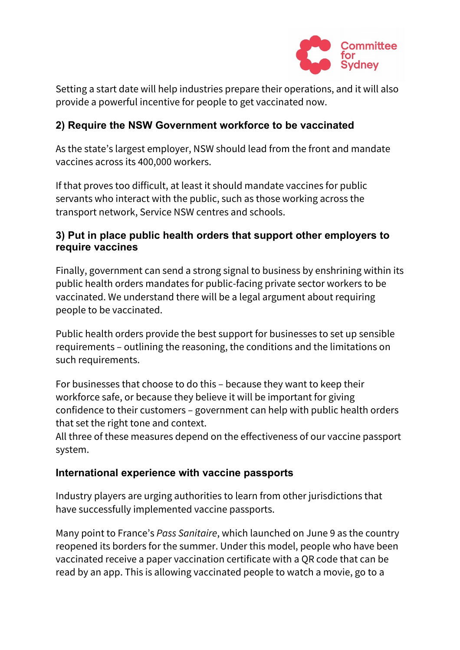

Setting a start date will help industries prepare their operations, and it will also provide a powerful incentive for people to get vaccinated now.

## **2) Require the NSW Government workforce to be vaccinated**

As the state's largest employer, NSW should lead from the front and mandate vaccines across its 400,000 workers.

If that proves too difficult, at least it should mandate vaccines for public servants who interact with the public, such as those working across the transport network, Service NSW centres and schools.

#### **3) Put in place public health orders that support other employers to require vaccines**

Finally, government can send a strong signal to business by enshrining within its public health orders mandates for public-facing private sector workers to be vaccinated. We understand there will be a legal argument about requiring people to be vaccinated.

Public health orders provide the best support for businesses to set up sensible requirements – outlining the reasoning, the conditions and the limitations on such requirements.

For businesses that choose to do this – because they want to keep their workforce safe, or because they believe it will be important for giving confidence to their customers – government can help with public health orders that set the right tone and context.

All three of these measures depend on the effectiveness of our vaccine passport system.

## **International experience with vaccine passports**

Industry players are urging authorities to learn from other jurisdictions that have successfully implemented vaccine passports.

Many point to France's *Pass Sanitaire*, which launched on June 9 as the country reopened its borders for the summer. Under this model, people who have been vaccinated receive a paper vaccination certificate with a QR code that can be read by an app. This is allowing vaccinated people to watch a movie, go to a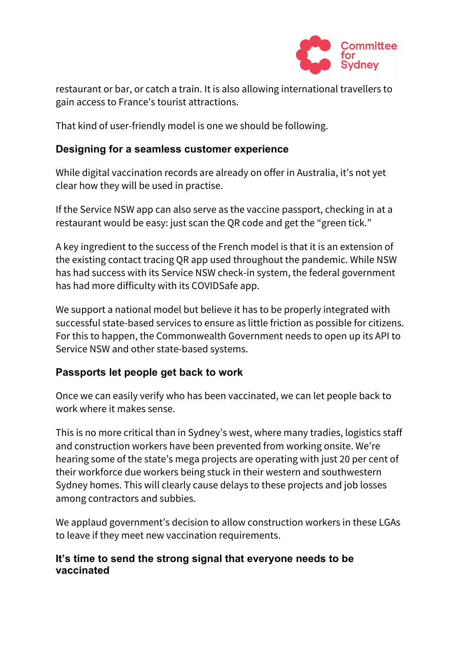

restaurant or bar, or catch a train. It is also allowing international travellers to gain access to France's tourist attractions.

That kind of user-friendly model is one we should be following.

#### **Designing for a seamless customer experience**

While digital vaccination records are already on offer in Australia, it's not yet clear how they will be used in practise.

If the Service NSW app can also serve as the vaccine passport, checking in at a restaurant would be easy: just scan the QR code and get the "green tick."

A key ingredient to the success of the French model is that it is an extension of the existing contact tracing QR app used throughout the pandemic. While NSW has had success with its Service NSW check-in system, the federal government has had more difficulty with its COVIDSafe app.

We support a national model but believe it has to be properly integrated with successful state-based services to ensure as little friction as possible for citizens. For this to happen, the Commonwealth Government needs to open up its API to Service NSW and other state-based systems.

## **Passports let people get back to work**

Once we can easily verify who has been vaccinated, we can let people back to work where it makes sense.

This is no more critical than in Sydney's west, where many tradies, logistics staff and construction workers have been prevented from working onsite. We're hearing some of the state's mega projects are operating with just 20 per cent of their workforce due workers being stuck in their western and southwestern Sydney homes. This will clearly cause delays to these projects and job losses among contractors and subbies.

We applaud government's decision to allow construction workers in these LGAs to leave if they meet new vaccination requirements.

#### **It's time to send the strong signal that everyone needs to be vaccinated**